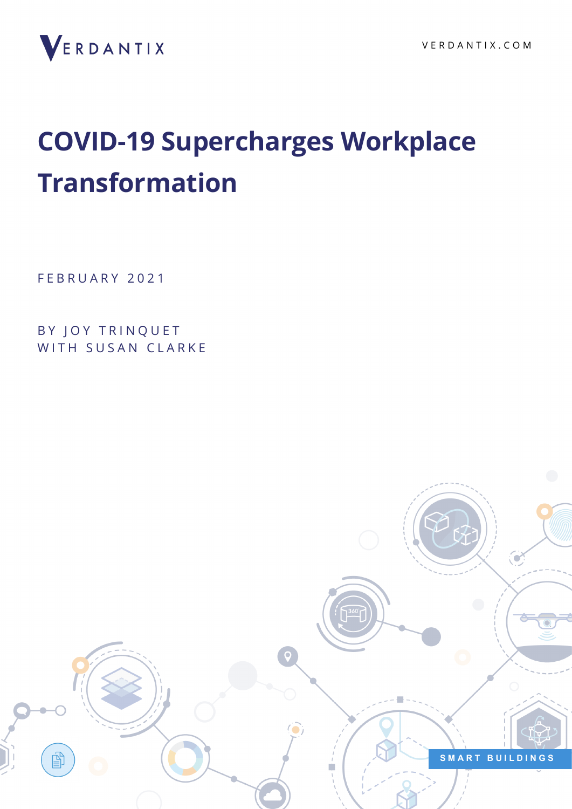

# **COVID-19 Supercharges Workplace Transformation**

FEBRUARY 2021

BY JOY TRINQUET WITH SUSAN CLARKE

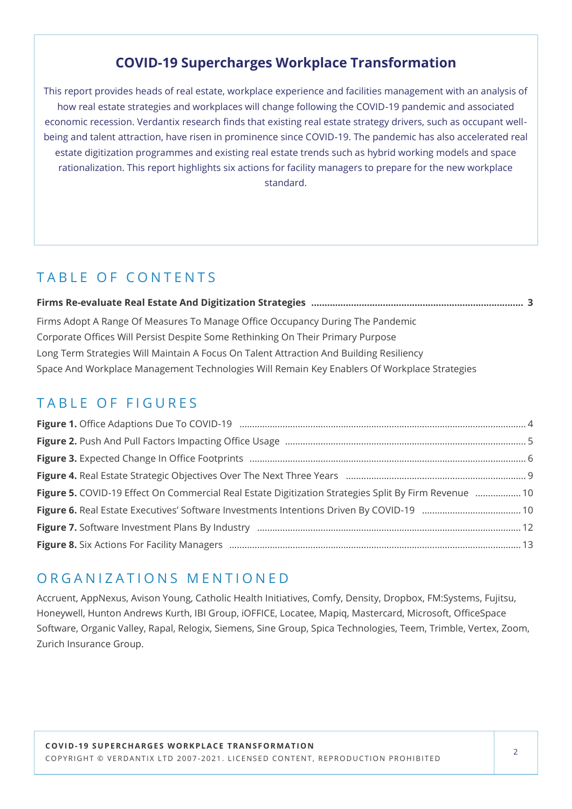### **COVID-19 Supercharges Workplace Transformation**

This report provides heads of real estate, workplace experience and facilities management with an analysis of how real estate strategies and workplaces will change following the COVID-19 pandemic and associated economic recession. Verdantix research finds that existing real estate strategy drivers, such as occupant wellbeing and talent attraction, have risen in prominence since COVID-19. The pandemic has also accelerated real estate digitization programmes and existing real estate trends such as hybrid working models and space rationalization. This report highlights six actions for facility managers to prepare for the new workplace standard.

### TABLE OF CONTENTS

| Firms Adopt A Range Of Measures To Manage Office Occupancy During The Pandemic               |  |
|----------------------------------------------------------------------------------------------|--|
| Corporate Offices Will Persist Despite Some Rethinking On Their Primary Purpose              |  |
| Long Term Strategies Will Maintain A Focus On Talent Attraction And Building Resiliency      |  |
| Space And Workplace Management Technologies Will Remain Key Enablers Of Workplace Strategies |  |

### TABLE OF FIGURES

| Figure 5. COVID-19 Effect On Commercial Real Estate Digitization Strategies Split By Firm Revenue  10 |
|-------------------------------------------------------------------------------------------------------|
|                                                                                                       |
|                                                                                                       |
|                                                                                                       |

### ORGANIZATIONS MENTIONED

Accruent, AppNexus, Avison Young, Catholic Health Initiatives, Comfy, Density, Dropbox, FM:Systems, Fujitsu, Honeywell, Hunton Andrews Kurth, IBI Group, iOFFICE, Locatee, Mapiq, Mastercard, Microsoft, OfficeSpace Software, Organic Valley, Rapal, Relogix, Siemens, Sine Group, Spica Technologies, Teem, Trimble, Vertex, Zoom, Zurich Insurance Group.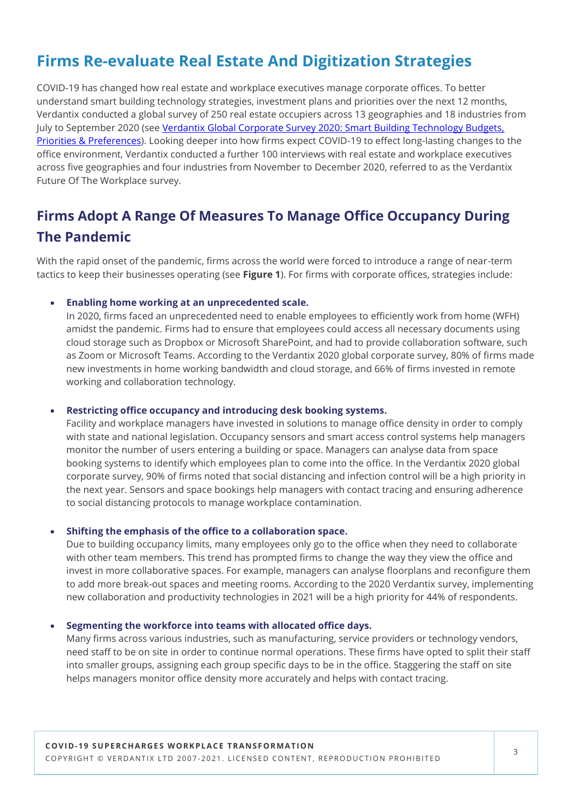### **Firms Re-evaluate Real Estate And Digitization Strategies**

COVID-19 has changed how real estate and workplace executives manage corporate offices. To better understand smart building technology strategies, investment plans and priorities over the next 12 months, Verdantix conducted a global survey of 250 real estate occupiers across 13 geographies and 18 industries from July to September 2020 (see Verdantix Global Corporate Survey 2020: Smart Building Technology Budgets, [Priorities & Preferences\).](https://research.verdantix.com/report/smart-buildings/global-corporate-survey-2020-smart-building-technology-budgets-priorities-preferences) Looking deeper into how firms expect COVID-19 to effect long-lasting changes to the office environment, Verdantix conducted a further 100 interviews with real estate and workplace executives across five geographies and four industries from November to December 2020, referred to as the Verdantix Future Of The Workplace survey.

### **Firms Adopt A Range Of Measures To Manage Office Occupancy During The Pandemic**

With the rapid onset of the pandemic, firms across the world were forced to introduce a range of near-term tactics to keep their businesses operating (see **Figure 1**). For firms with corporate offices, strategies include:

• **Enabling home working at an unprecedented scale.**

In 2020, firms faced an unprecedented need to enable employees to efficiently work from home (WFH) amidst the pandemic. Firms had to ensure that employees could access all necessary documents using cloud storage such as Dropbox or Microsoft SharePoint, and had to provide collaboration software, such as Zoom or Microsoft Teams. According to the Verdantix 2020 global corporate survey, 80% of firms made new investments in home working bandwidth and cloud storage, and 66% of firms invested in remote working and collaboration technology.

#### • **Restricting office occupancy and introducing desk booking systems.**

Facility and workplace managers have invested in solutions to manage office density in order to comply with state and national legislation. Occupancy sensors and smart access control systems help managers monitor the number of users entering a building or space. Managers can analyse data from space booking systems to identify which employees plan to come into the office. In the Verdantix 2020 global corporate survey, 90% of firms noted that social distancing and infection control will be a high priority in the next year. Sensors and space bookings help managers with contact tracing and ensuring adherence to social distancing protocols to manage workplace contamination.

#### • **Shifting the emphasis of the office to a collaboration space.**

Due to building occupancy limits, many employees only go to the office when they need to collaborate with other team members. This trend has prompted firms to change the way they view the office and invest in more collaborative spaces. For example, managers can analyse floorplans and reconfigure them to add more break-out spaces and meeting rooms. According to the 2020 Verdantix survey, implementing new collaboration and productivity technologies in 2021 will be a high priority for 44% of respondents.

#### • **Segmenting the workforce into teams with allocated office days.**

Many firms across various industries, such as manufacturing, service providers or technology vendors, need staff to be on site in order to continue normal operations. These firms have opted to split their staff into smaller groups, assigning each group specific days to be in the office. Staggering the staff on site helps managers monitor office density more accurately and helps with contact tracing.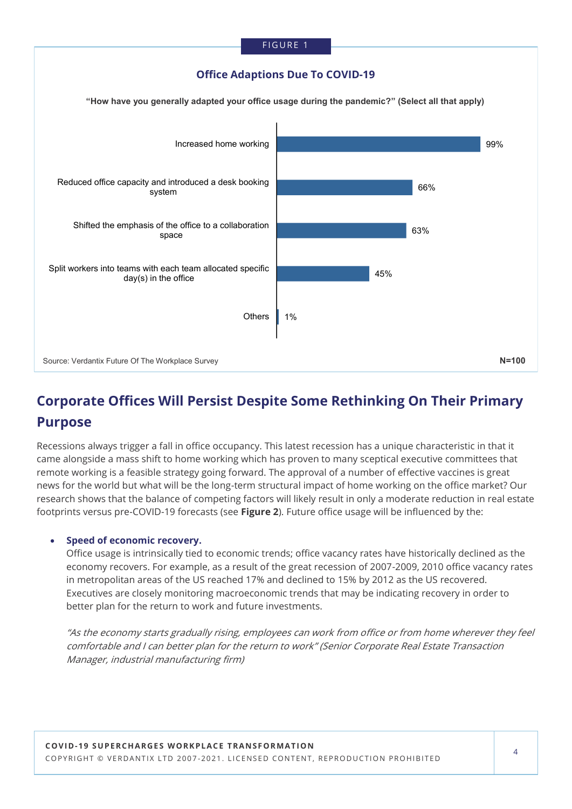

### **Corporate Offices Will Persist Despite Some Rethinking On Their Primary Purpose**

Recessions always trigger a fall in office occupancy. This latest recession has a unique characteristic in that it came alongside a mass shift to home working which has proven to many sceptical executive committees that remote working is a feasible strategy going forward. The approval of a number of effective vaccines is great news for the world but what will be the long-term structural impact of home working on the office market? Our research shows that the balance of competing factors will likely result in only a moderate reduction in real estate footprints versus pre-COVID-19 forecasts (see **Figure 2**). Future office usage will be influenced by the:

#### • **Speed of economic recovery.**

Office usage is intrinsically tied to economic trends; office vacancy rates have historically declined as the economy recovers. For example, as a result of the great recession of 2007-2009, 2010 office vacancy rates in metropolitan areas of the US reached 17% and declined to 15% by 2012 as the US recovered. Executives are closely monitoring macroeconomic trends that may be indicating recovery in order to better plan for the return to work and future investments.

"As the economy starts gradually rising, employees can work from office or from home wherever they feel comfortable and I can better plan for the return to work" (Senior Corporate Real Estate Transaction Manager, industrial manufacturing firm)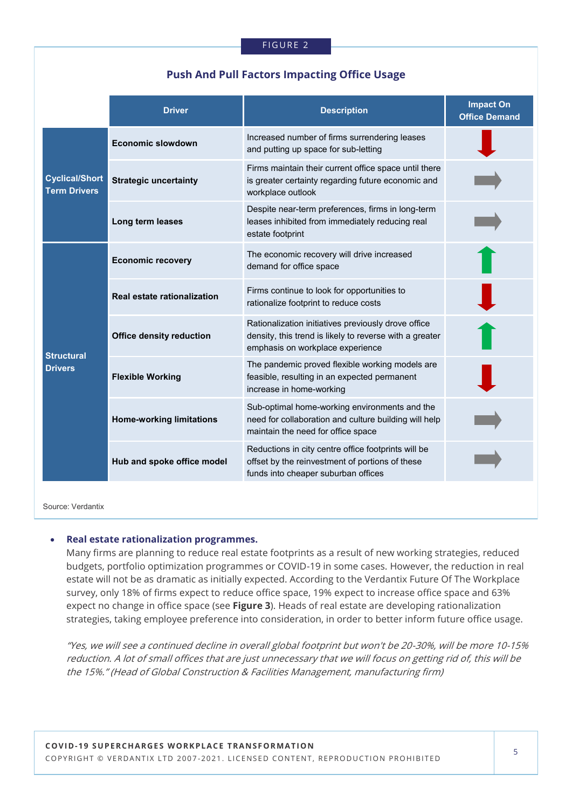### **Push And Pull Factors Impacting Office Usage**

|                                              | <b>Driver</b>                   | <b>Description</b>                                                                                                                                 | <b>Impact On</b><br><b>Office Demand</b> |
|----------------------------------------------|---------------------------------|----------------------------------------------------------------------------------------------------------------------------------------------------|------------------------------------------|
| <b>Cyclical/Short</b><br><b>Term Drivers</b> | <b>Economic slowdown</b>        | Increased number of firms surrendering leases<br>and putting up space for sub-letting                                                              |                                          |
|                                              | <b>Strategic uncertainty</b>    | Firms maintain their current office space until there<br>is greater certainty regarding future economic and<br>workplace outlook                   |                                          |
|                                              | Long term leases                | Despite near-term preferences, firms in long-term<br>leases inhibited from immediately reducing real<br>estate footprint                           |                                          |
|                                              | <b>Economic recovery</b>        | The economic recovery will drive increased<br>demand for office space                                                                              |                                          |
|                                              | Real estate rationalization     | Firms continue to look for opportunities to<br>rationalize footprint to reduce costs                                                               |                                          |
|                                              | <b>Office density reduction</b> | Rationalization initiatives previously drove office<br>density, this trend is likely to reverse with a greater<br>emphasis on workplace experience |                                          |
| <b>Structural</b><br><b>Drivers</b>          | <b>Flexible Working</b>         | The pandemic proved flexible working models are<br>feasible, resulting in an expected permanent<br>increase in home-working                        |                                          |
|                                              | <b>Home-working limitations</b> | Sub-optimal home-working environments and the<br>need for collaboration and culture building will help<br>maintain the need for office space       |                                          |
|                                              | Hub and spoke office model      | Reductions in city centre office footprints will be<br>offset by the reinvestment of portions of these<br>funds into cheaper suburban offices      |                                          |
|                                              |                                 |                                                                                                                                                    |                                          |

Source: Verdantix

#### • **Real estate rationalization programmes.**

Many firms are planning to reduce real estate footprints as a result of new working strategies, reduced budgets, portfolio optimization programmes or COVID-19 in some cases. However, the reduction in real estate will not be as dramatic as initially expected. According to the Verdantix Future Of The Workplace survey, only 18% of firms expect to reduce office space, 19% expect to increase office space and 63% expect no change in office space (see **Figure 3**). Heads of real estate are developing rationalization strategies, taking employee preference into consideration, in order to better inform future office usage.

"Yes, we will see a continued decline in overall global footprint but won't be 20-30%, will be more 10-15% reduction. A lot of small offices that are just unnecessary that we will focus on getting rid of, this will be the 15%." (Head of Global Construction & Facilities Management, manufacturing firm)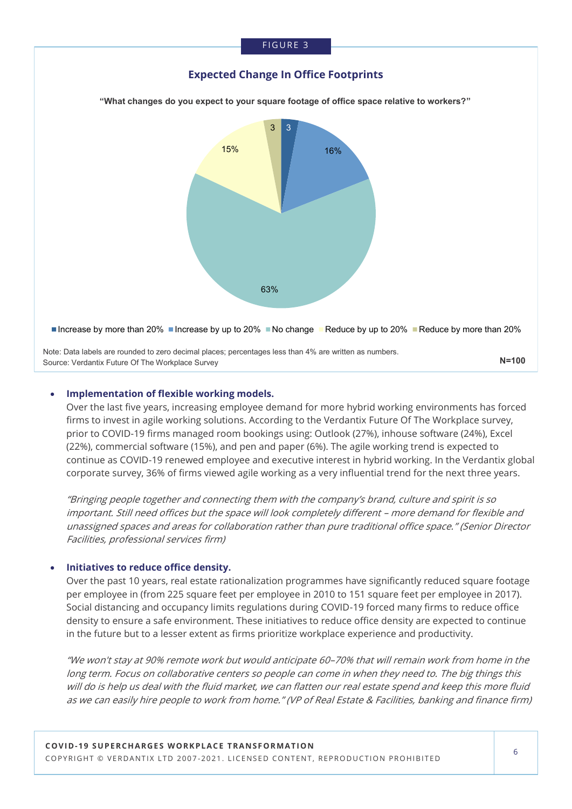#### **FIGURE 3**

#### **Expected Change In Office Footprints**

**"What changes do you expect to your square footage of office space relative to workers?"**



#### • **Implementation of flexible working models.**

Over the last five years, increasing employee demand for more hybrid working environments has forced firms to invest in agile working solutions. According to the Verdantix Future Of The Workplace survey, prior to COVID-19 firms managed room bookings using: Outlook (27%), inhouse software (24%), Excel (22%), commercial software (15%), and pen and paper (6%). The agile working trend is expected to continue as COVID-19 renewed employee and executive interest in hybrid working. In the Verdantix global corporate survey, 36% of firms viewed agile working as a very influential trend for the next three years.

"Bringing people together and connecting them with the company's brand, culture and spirit is so important. Still need offices but the space will look completely different – more demand for flexible and unassigned spaces and areas for collaboration rather than pure traditional office space." (Senior Director Facilities, professional services firm)

#### • **Initiatives to reduce office density.**

Over the past 10 years, real estate rationalization programmes have significantly reduced square footage per employee in (from 225 square feet per employee in 2010 to 151 square feet per employee in 2017). Social distancing and occupancy limits regulations during COVID-19 forced many firms to reduce office density to ensure a safe environment. These initiatives to reduce office density are expected to continue in the future but to a lesser extent as firms prioritize workplace experience and productivity.

"We won't stay at 90% remote work but would anticipate 60–70% that will remain work from home in the long term. Focus on collaborative centers so people can come in when they need to. The big things this will do is help us deal with the fluid market, we can flatten our real estate spend and keep this more fluid as we can easily hire people to work from home." (VP of Real Estate & Facilities, banking and finance firm)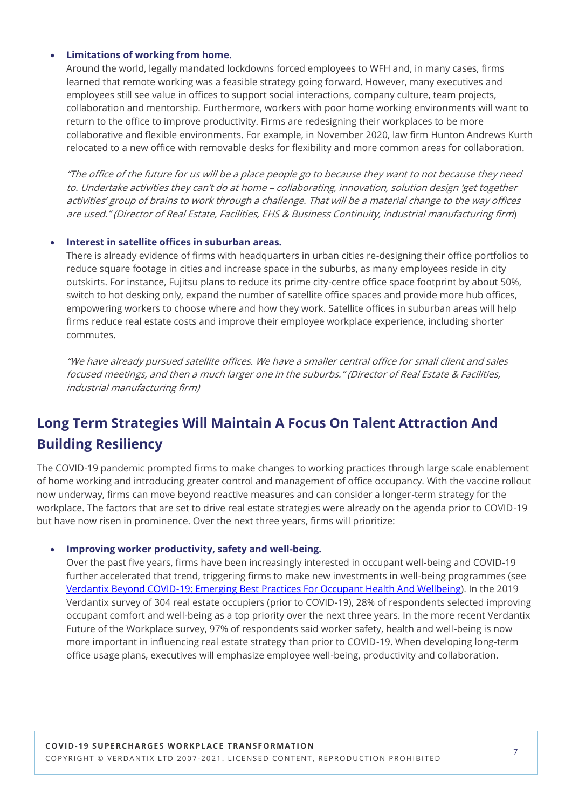#### • **Limitations of working from home.**

Around the world, legally mandated lockdowns forced employees to WFH and, in many cases, firms learned that remote working was a feasible strategy going forward. However, many executives and employees still see value in offices to support social interactions, company culture, team projects, collaboration and mentorship. Furthermore, workers with poor home working environments will want to return to the office to improve productivity. Firms are redesigning their workplaces to be more collaborative and flexible environments. For example, in November 2020, law firm Hunton Andrews Kurth relocated to a new office with removable desks for flexibility and more common areas for collaboration.

"The office of the future for us will be a place people go to because they want to not because they need to. Undertake activities they can't do at home – collaborating, innovation, solution design 'get together activities' group of brains to work through a challenge. That will be a material change to the way offices are used." (Director of Real Estate, Facilities, EHS & Business Continuity, industrial manufacturing firm)

#### • **Interest in satellite offices in suburban areas.**

There is already evidence of firms with headquarters in urban cities re-designing their office portfolios to reduce square footage in cities and increase space in the suburbs, as many employees reside in city outskirts. For instance, Fujitsu plans to reduce its prime city-centre office space footprint by about 50%, switch to hot desking only, expand the number of satellite office spaces and provide more hub offices, empowering workers to choose where and how they work. Satellite offices in suburban areas will help firms reduce real estate costs and improve their employee workplace experience, including shorter commutes.

"We have already pursued satellite offices. We have a smaller central office for small client and sales focused meetings, and then a much larger one in the suburbs." (Director of Real Estate & Facilities, industrial manufacturing firm)

### **Long Term Strategies Will Maintain A Focus On Talent Attraction And Building Resiliency**

The COVID-19 pandemic prompted firms to make changes to working practices through large scale enablement of home working and introducing greater control and management of office occupancy. With the vaccine rollout now underway, firms can move beyond reactive measures and can consider a longer-term strategy for the workplace. The factors that are set to drive real estate strategies were already on the agenda prior to COVID-19 but have now risen in prominence. Over the next three years, firms will prioritize:

#### • **Improving worker productivity, safety and well-being.**

Over the past five years, firms have been increasingly interested in occupant well-being and COVID-19 further accelerated that trend, triggering firms to make new investments in well-being programmes (see Verdantix Beyond COVID-[19: Emerging Best Practices For Occupant Health And Wellbeing\).](https://research.verdantix.com/report/beyond-covid-19-emerging-best-practices-for-occupant-health-and-wellbeing) In the 2019 Verdantix survey of 304 real estate occupiers (prior to COVID-19), 28% of respondents selected improving occupant comfort and well-being as a top priority over the next three years. In the more recent Verdantix Future of the Workplace survey, 97% of respondents said worker safety, health and well-being is now more important in influencing real estate strategy than prior to COVID-19. When developing long-term office usage plans, executives will emphasize employee well-being, productivity and collaboration.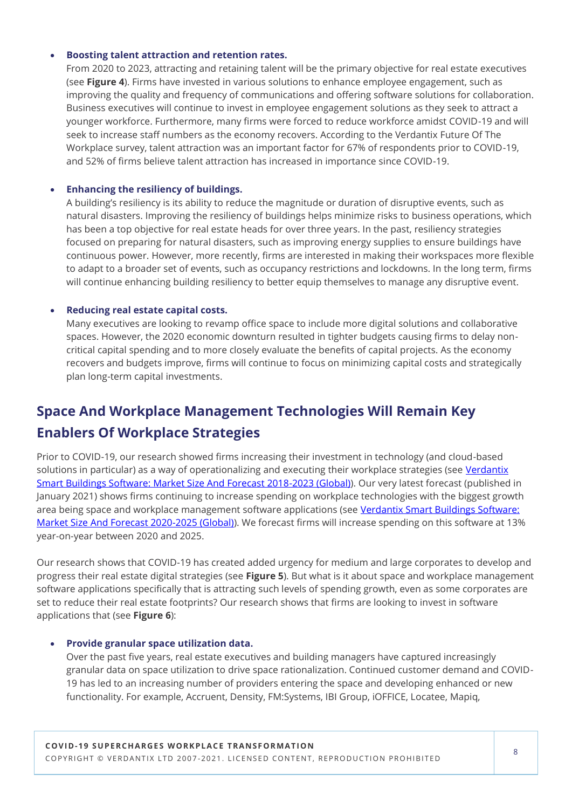#### • **Boosting talent attraction and retention rates.**

From 2020 to 2023, attracting and retaining talent will be the primary objective for real estate executives (see **Figure 4**). Firms have invested in various solutions to enhance employee engagement, such as improving the quality and frequency of communications and offering software solutions for collaboration. Business executives will continue to invest in employee engagement solutions as they seek to attract a younger workforce. Furthermore, many firms were forced to reduce workforce amidst COVID-19 and will seek to increase staff numbers as the economy recovers. According to the Verdantix Future Of The Workplace survey, talent attraction was an important factor for 67% of respondents prior to COVID-19, and 52% of firms believe talent attraction has increased in importance since COVID-19.

#### • **Enhancing the resiliency of buildings.**

A building's resiliency is its ability to reduce the magnitude or duration of disruptive events, such as natural disasters. Improving the resiliency of buildings helps minimize risks to business operations, which has been a top objective for real estate heads for over three years. In the past, resiliency strategies focused on preparing for natural disasters, such as improving energy supplies to ensure buildings have continuous power. However, more recently, firms are interested in making their workspaces more flexible to adapt to a broader set of events, such as occupancy restrictions and lockdowns. In the long term, firms will continue enhancing building resiliency to better equip themselves to manage any disruptive event.

#### • **Reducing real estate capital costs.**

Many executives are looking to revamp office space to include more digital solutions and collaborative spaces. However, the 2020 economic downturn resulted in tighter budgets causing firms to delay noncritical capital spending and to more closely evaluate the benefits of capital projects. As the economy recovers and budgets improve, firms will continue to focus on minimizing capital costs and strategically plan long-term capital investments.

### **Space And Workplace Management Technologies Will Remain Key Enablers Of Workplace Strategies**

Prior to COVID-19, our research showed firms increasing their investment in technology (and cloud-based solutions in particular) as a way of operationalizing and executing their workplace strategies (see Verdantix [Smart Buildings Software: Market Size And Forecast 2018](https://research.verdantix.com/report/smart-buildings/smart-buildings-software-market-size-and-forecast-2018-2023-global)-2023 (Global)). Our very latest forecast (published in January 2021) shows firms continuing to increase spending on workplace technologies with the biggest growth area being space and workplace management software applications (see Verdantix Smart Buildings Software: [Market Size And Forecast 2020](https://research.verdantix.com/report/smart-buildings/smart-buildings-software-market-size-and-forecast-2020-2025-global)-2025 (Global)). We forecast firms will increase spending on this software at 13% year-on-year between 2020 and 2025.

Our research shows that COVID-19 has created added urgency for medium and large corporates to develop and progress their real estate digital strategies (see **Figure 5**). But what is it about space and workplace management software applications specifically that is attracting such levels of spending growth, even as some corporates are set to reduce their real estate footprints? Our research shows that firms are looking to invest in software applications that (see **Figure 6**):

#### • **Provide granular space utilization data.**

Over the past five years, real estate executives and building managers have captured increasingly granular data on space utilization to drive space rationalization. Continued customer demand and COVID-19 has led to an increasing number of providers entering the space and developing enhanced or new functionality. For example, Accruent, Density, FM:Systems, IBI Group, iOFFICE, Locatee, Mapiq,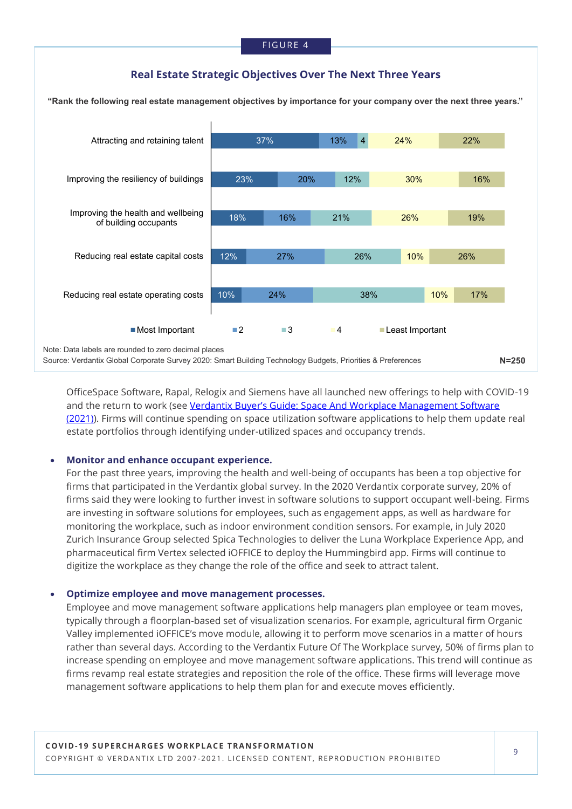#### **Real Estate Strategic Objectives Over The Next Three Years**



OfficeSpace Software, Rapal, Relogix and Siemens have all launched new offerings to help with COVID-19 and the return to work (see Verdantix Buyer'[s Guide: Space And Workplace Management Software](https://research.verdantix.com/report/buyer-s-guide-space-and-workplace-management-software-2021)  [\(2021\)\)](https://research.verdantix.com/report/buyer-s-guide-space-and-workplace-management-software-2021). Firms will continue spending on space utilization software applications to help them update real estate portfolios through identifying under-utilized spaces and occupancy trends.

#### • **Monitor and enhance occupant experience.**

For the past three years, improving the health and well-being of occupants has been a top objective for firms that participated in the Verdantix global survey. In the 2020 Verdantix corporate survey, 20% of firms said they were looking to further invest in software solutions to support occupant well-being. Firms are investing in software solutions for employees, such as engagement apps, as well as hardware for monitoring the workplace, such as indoor environment condition sensors. For example, in July 2020 Zurich Insurance Group selected Spica Technologies to deliver the Luna Workplace Experience App, and pharmaceutical firm Vertex selected iOFFICE to deploy the Hummingbird app. Firms will continue to digitize the workplace as they change the role of the office and seek to attract talent.

#### • **Optimize employee and move management processes.**

Employee and move management software applications help managers plan employee or team moves, typically through a floorplan-based set of visualization scenarios. For example, agricultural firm Organic Valley implemented iOFFICE's move module, allowing it to perform move scenarios in a matter of hours rather than several days. According to the Verdantix Future Of The Workplace survey, 50% of firms plan to increase spending on employee and move management software applications. This trend will continue as firms revamp real estate strategies and reposition the role of the office. These firms will leverage move management software applications to help them plan for and execute moves efficiently.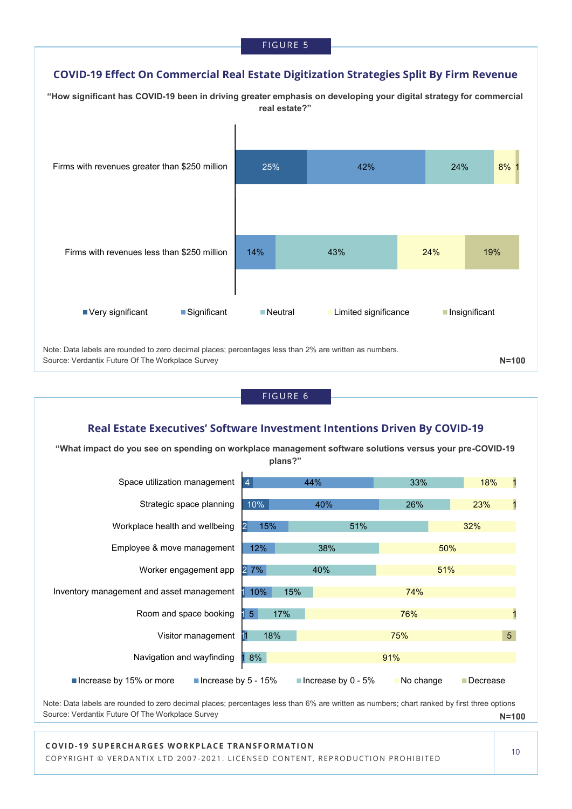#### **COVID-19 Effect On Commercial Real Estate Digitization Strategies Split By Firm Revenue**





**N=100** Note: Data labels are rounded to zero decimal places; percentages less than 6% are written as numbers; chart ranked by first three options Source: Verdantix Future Of The Workplace Survey

#### **COVID-19 SUPERCHARGES WORKPLACE TRANSFORMATION**

COPYRIGHT © VERDANTIX LTD 2007-2021. LICENSED CONTENT, REPRODUCTION PROHIBITED

10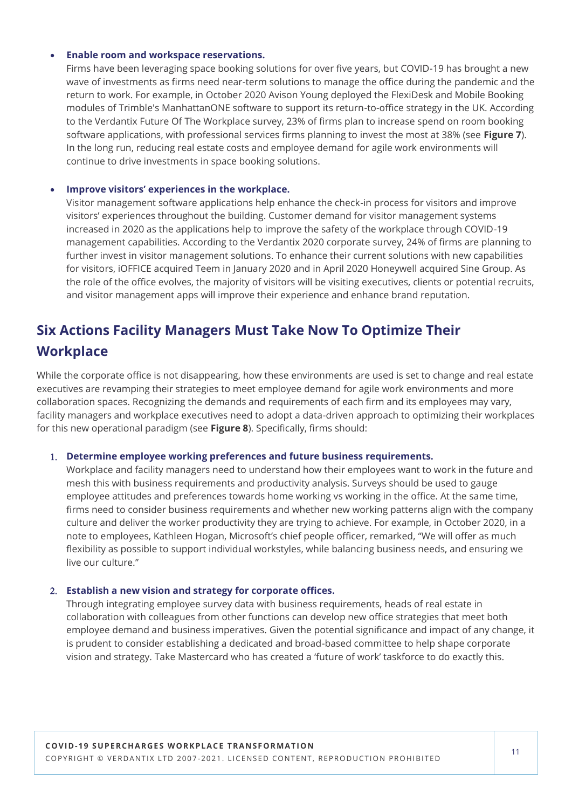#### • **Enable room and workspace reservations.**

Firms have been leveraging space booking solutions for over five years, but COVID-19 has brought a new wave of investments as firms need near-term solutions to manage the office during the pandemic and the return to work. For example, in October 2020 Avison Young deployed the FlexiDesk and Mobile Booking modules of Trimble's ManhattanONE software to support its return-to-office strategy in the UK. According to the Verdantix Future Of The Workplace survey, 23% of firms plan to increase spend on room booking software applications, with professional services firms planning to invest the most at 38% (see **Figure 7**). In the long run, reducing real estate costs and employee demand for agile work environments will continue to drive investments in space booking solutions.

#### • **Improve visitors' experiences in the workplace.**

Visitor management software applications help enhance the check-in process for visitors and improve visitors' experiences throughout the building. Customer demand for visitor management systems increased in 2020 as the applications help to improve the safety of the workplace through COVID-19 management capabilities. According to the Verdantix 2020 corporate survey, 24% of firms are planning to further invest in visitor management solutions. To enhance their current solutions with new capabilities for visitors, iOFFICE acquired Teem in January 2020 and in April 2020 Honeywell acquired Sine Group. As the role of the office evolves, the majority of visitors will be visiting executives, clients or potential recruits, and visitor management apps will improve their experience and enhance brand reputation.

### **Six Actions Facility Managers Must Take Now To Optimize Their Workplace**

While the corporate office is not disappearing, how these environments are used is set to change and real estate executives are revamping their strategies to meet employee demand for agile work environments and more collaboration spaces. Recognizing the demands and requirements of each firm and its employees may vary, facility managers and workplace executives need to adopt a data-driven approach to optimizing their workplaces for this new operational paradigm (see **Figure 8**). Specifically, firms should:

#### **Determine employee working preferences and future business requirements.**

Workplace and facility managers need to understand how their employees want to work in the future and mesh this with business requirements and productivity analysis. Surveys should be used to gauge employee attitudes and preferences towards home working vs working in the office. At the same time, firms need to consider business requirements and whether new working patterns align with the company culture and deliver the worker productivity they are trying to achieve. For example, in October 2020, in a note to employees, Kathleen Hogan, Microsoft's chief people officer, remarked, "We will offer as much flexibility as possible to support individual workstyles, while balancing business needs, and ensuring we live our culture."

#### **Establish a new vision and strategy for corporate offices.**

Through integrating employee survey data with business requirements, heads of real estate in collaboration with colleagues from other functions can develop new office strategies that meet both employee demand and business imperatives. Given the potential significance and impact of any change, it is prudent to consider establishing a dedicated and broad-based committee to help shape corporate vision and strategy. Take Mastercard who has created a 'future of work' taskforce to do exactly this.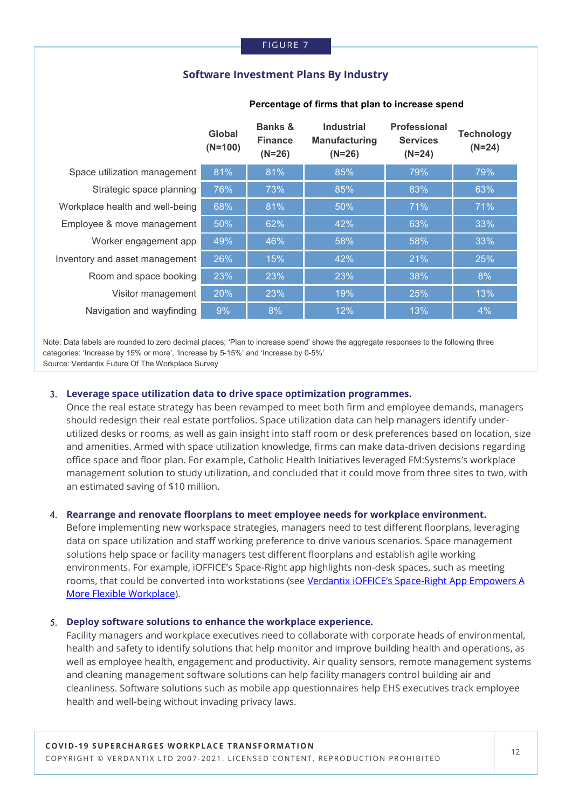#### **Software Investment Plans By Industry**

|                                 | Global<br>$(N=100)$ | <b>Banks &amp;</b><br><b>Finance</b><br>$(N=26)$ | <b>Industrial</b><br><b>Manufacturing</b><br>$(N=26)$ | <b>Professional</b><br><b>Services</b><br>$(N=24)$ | <b>Technology</b><br>$(N=24)$ |
|---------------------------------|---------------------|--------------------------------------------------|-------------------------------------------------------|----------------------------------------------------|-------------------------------|
| Space utilization management    | 81%                 | 81%                                              | 85%                                                   | 79%                                                | 79%                           |
| Strategic space planning        | 76%                 | 73%                                              | 85%                                                   | 83%                                                | 63%                           |
| Workplace health and well-being | 68%                 | 81%                                              | 50%                                                   | 71%                                                | 71%                           |
| Employee & move management      | 50%                 | 62%                                              | 42%                                                   | 63%                                                | 33%                           |
| Worker engagement app           | 49%                 | 46%                                              | 58%                                                   | 58%                                                | 33%                           |
| Inventory and asset management  | 26%                 | 15%                                              | 42%                                                   | 21%                                                | 25%                           |
| Room and space booking          | 23%                 | 23%                                              | 23%                                                   | 38%                                                | 8%                            |
| Visitor management              | 20%                 | 23%                                              | 19%                                                   | 25%                                                | 13%                           |
| Navigation and wayfinding       | 9%                  | 8%                                               | 12%                                                   | 13%                                                | 4%                            |

#### **Percentage of firms that plan to increase spend**

 Note: Data labels are rounded to zero decimal places; 'Plan to increase spend' shows the aggregate responses to the following three categories: 'Increase by 15% or more', 'Increase by 5-15%' and 'Increase by 0-5%' Source: Verdantix Future Of The Workplace Survey

#### **Leverage space utilization data to drive space optimization programmes.**

Once the real estate strategy has been revamped to meet both firm and employee demands, managers should redesign their real estate portfolios. Space utilization data can help managers identify underutilized desks or rooms, as well as gain insight into staff room or desk preferences based on location, size and amenities. Armed with space utilization knowledge, firms can make data-driven decisions regarding office space and floor plan. For example, Catholic Health Initiatives leveraged FM:Systems's workplace management solution to study utilization, and concluded that it could move from three sites to two, with an estimated saving of \$10 million.

#### **Rearrange and renovate floorplans to meet employee needs for workplace environment.**

Before implementing new workspace strategies, managers need to test different floorplans, leveraging data on space utilization and staff working preference to drive various scenarios. Space management solutions help space or facility managers test different floorplans and establish agile working environments. For example, iOFFICE's Space-Right app highlights non-desk spaces, such as meeting rooms, that could be converted into workstations (see Verdantix iOFFICE's Space-Right App Empowers A [More Flexible Workplace\)](https://research.verdantix.com/report/ioffice-s-space-right-app-empowers-a-more-flexible-workplace).

#### **Deploy software solutions to enhance the workplace experience.**

Facility managers and workplace executives need to collaborate with corporate heads of environmental, health and safety to identify solutions that help monitor and improve building health and operations, as well as employee health, engagement and productivity. Air quality sensors, remote management systems and cleaning management software solutions can help facility managers control building air and cleanliness. Software solutions such as mobile app questionnaires help EHS executives track employee health and well-being without invading privacy laws.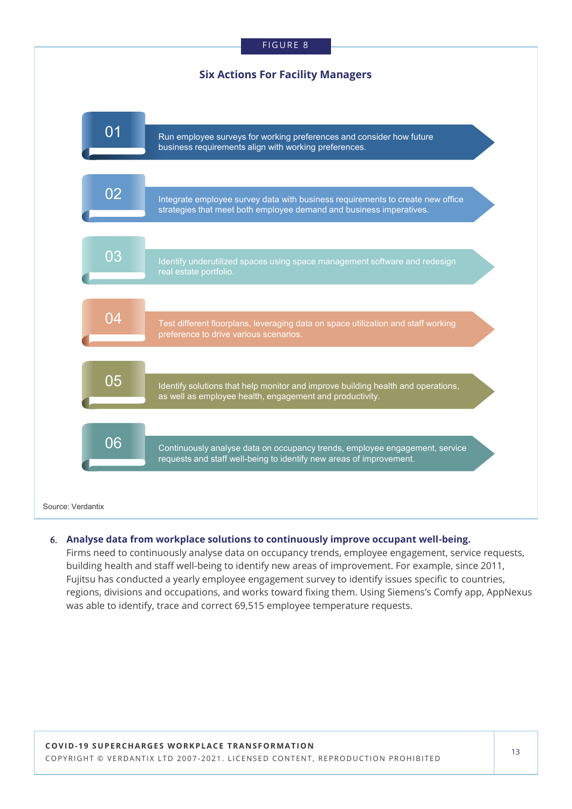#### FIGURE 8

#### **Six Actions For Facility Managers**



#### **Analyse data from workplace solutions to continuously improve occupant well-being.**

Firms need to continuously analyse data on occupancy trends, employee engagement, service requests, building health and staff well-being to identify new areas of improvement. For example, since 2011, Fujitsu has conducted a yearly employee engagement survey to identify issues specific to countries, regions, divisions and occupations, and works toward fixing them. Using Siemens's Comfy app, AppNexus was able to identify, trace and correct 69,515 employee temperature requests.